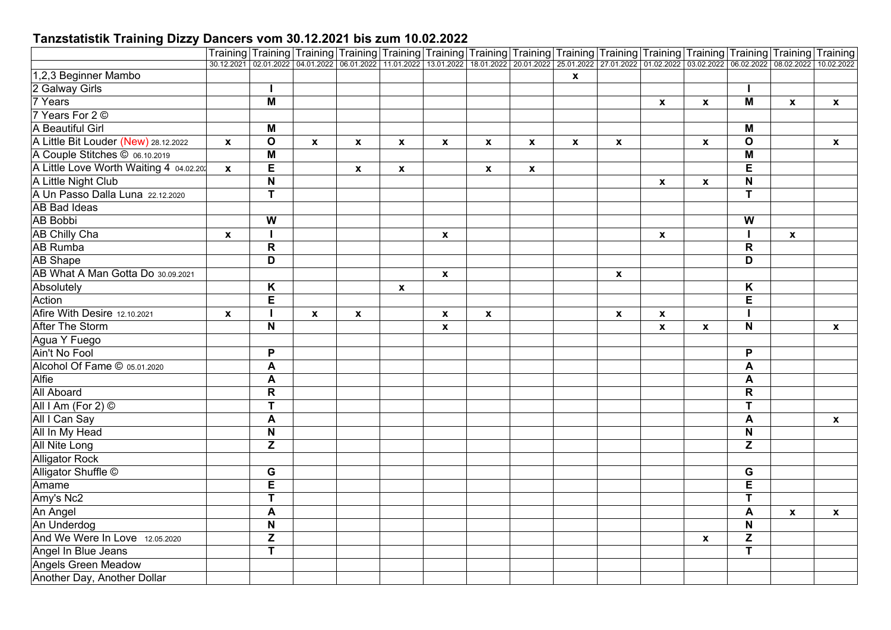|                                         |              |                                                             |              |                           |                           | Training Training Training Training Training Training Training Training Training Training Training Training Training Training Training                                          |                           |              |              |                    |                    |                           |                           |              |                  |
|-----------------------------------------|--------------|-------------------------------------------------------------|--------------|---------------------------|---------------------------|---------------------------------------------------------------------------------------------------------------------------------------------------------------------------------|---------------------------|--------------|--------------|--------------------|--------------------|---------------------------|---------------------------|--------------|------------------|
|                                         |              |                                                             |              |                           |                           | 30.12.2021 02.01.2022 04.01.2022 06.01.2022 11.01.2022 13.01.2022 18.01.2022 20.01.2022 25.01.2022 27.01.2022 01.02.2022 03.02.2022 03.02.2022 08.02.2022 08.02.2022 10.02.2022 |                           |              |              |                    |                    |                           |                           |              |                  |
| 1,2,3 Beginner Mambo                    |              |                                                             |              |                           |                           |                                                                                                                                                                                 |                           |              | $\mathbf{x}$ |                    |                    |                           |                           |              |                  |
| 2 Galway Girls                          |              |                                                             |              |                           |                           |                                                                                                                                                                                 |                           |              |              |                    |                    |                           |                           |              |                  |
| 7 Years                                 |              | $\overline{\mathsf{M}}$                                     |              |                           |                           |                                                                                                                                                                                 |                           |              |              |                    | $\mathbf{x}$       | $\mathbf{x}$              | M                         | $\mathbf{x}$ | $\mathbf{x}$     |
| 7 Years For 2 ©                         |              |                                                             |              |                           |                           |                                                                                                                                                                                 |                           |              |              |                    |                    |                           |                           |              |                  |
| A Beautiful Girl                        |              | M                                                           |              |                           |                           |                                                                                                                                                                                 |                           |              |              |                    |                    |                           | M                         |              |                  |
| A Little Bit Louder (New) 28.12.2022    | $\mathbf x$  | $\mathbf{o}$                                                | $\pmb{\chi}$ | $\boldsymbol{\mathsf{x}}$ | $\pmb{\chi}$              | $\boldsymbol{x}$                                                                                                                                                                | $\boldsymbol{\mathsf{x}}$ | $\mathbf{x}$ | X            | $\pmb{\mathsf{x}}$ |                    | $\boldsymbol{x}$          | $\mathbf{o}$              |              | $\mathbf{x}$     |
| A Couple Stitches © 06.10.2019          |              | $\overline{\mathsf{M}}$                                     |              |                           |                           |                                                                                                                                                                                 |                           |              |              |                    |                    |                           | M                         |              |                  |
| A Little Love Worth Waiting 4 04.02.20: | $\mathbf{x}$ | E                                                           |              | $\boldsymbol{\mathsf{X}}$ | $\boldsymbol{\mathsf{x}}$ |                                                                                                                                                                                 | X                         | X            |              |                    |                    |                           | E                         |              |                  |
| A Little Night Club                     |              | N                                                           |              |                           |                           |                                                                                                                                                                                 |                           |              |              |                    | $\pmb{\chi}$       | $\boldsymbol{\mathsf{x}}$ | $\mathbf N$               |              |                  |
| A Un Passo Dalla Luna 22.12.2020        |              | Ŧ                                                           |              |                           |                           |                                                                                                                                                                                 |                           |              |              |                    |                    |                           | T.                        |              |                  |
| <b>AB Bad Ideas</b>                     |              |                                                             |              |                           |                           |                                                                                                                                                                                 |                           |              |              |                    |                    |                           |                           |              |                  |
| <b>AB Bobbi</b>                         |              | $\overline{\mathbf{W}}$                                     |              |                           |                           |                                                                                                                                                                                 |                           |              |              |                    |                    |                           | W                         |              |                  |
| <b>AB Chilly Cha</b>                    | $\mathbf x$  |                                                             |              |                           |                           | $\boldsymbol{x}$                                                                                                                                                                |                           |              |              |                    | $\mathbf{x}$       |                           |                           | $\mathbf{x}$ |                  |
| <b>AB Rumba</b>                         |              | $\overline{\mathsf{R}}$                                     |              |                           |                           |                                                                                                                                                                                 |                           |              |              |                    |                    |                           | $\overline{\mathsf{R}}$   |              |                  |
| <b>AB</b> Shape                         |              | D                                                           |              |                           |                           |                                                                                                                                                                                 |                           |              |              |                    |                    |                           | D                         |              |                  |
| AB What A Man Gotta Do 30.09.2021       |              |                                                             |              |                           |                           | $\pmb{\chi}$                                                                                                                                                                    |                           |              |              | $\pmb{\mathsf{x}}$ |                    |                           |                           |              |                  |
| Absolutely                              |              | K                                                           |              |                           | $\pmb{\chi}$              |                                                                                                                                                                                 |                           |              |              |                    |                    |                           | Κ                         |              |                  |
| Action                                  |              | E                                                           |              |                           |                           |                                                                                                                                                                                 |                           |              |              |                    |                    |                           | E                         |              |                  |
| Afire With Desire 12.10.2021            | $\mathbf{x}$ |                                                             | $\mathbf x$  | $\pmb{\mathsf{x}}$        |                           | $\pmb{\mathsf{x}}$                                                                                                                                                              | $\boldsymbol{\mathsf{x}}$ |              |              | $\pmb{\mathsf{x}}$ | $\pmb{\mathsf{x}}$ |                           |                           |              |                  |
| After The Storm                         |              | N                                                           |              |                           |                           | $\mathbf{x}$                                                                                                                                                                    |                           |              |              |                    | $\pmb{\chi}$       | $\mathbf{x}$              | N                         |              | $\mathbf{x}$     |
| Agua Y Fuego                            |              |                                                             |              |                           |                           |                                                                                                                                                                                 |                           |              |              |                    |                    |                           |                           |              |                  |
| Ain't No Fool                           |              | P                                                           |              |                           |                           |                                                                                                                                                                                 |                           |              |              |                    |                    |                           | P                         |              |                  |
| Alcohol Of Fame © 05.01.2020            |              | A                                                           |              |                           |                           |                                                                                                                                                                                 |                           |              |              |                    |                    |                           | A                         |              |                  |
| Alfie                                   |              | A                                                           |              |                           |                           |                                                                                                                                                                                 |                           |              |              |                    |                    |                           | A                         |              |                  |
| <b>All Aboard</b>                       |              | $\mathsf{R}$                                                |              |                           |                           |                                                                                                                                                                                 |                           |              |              |                    |                    |                           | $\mathsf R$               |              |                  |
| All I Am (For 2) ©                      |              | $\overline{\mathsf{T}}$                                     |              |                           |                           |                                                                                                                                                                                 |                           |              |              |                    |                    |                           | T                         |              |                  |
| All I Can Say                           |              | A                                                           |              |                           |                           |                                                                                                                                                                                 |                           |              |              |                    |                    |                           | A                         |              | $\boldsymbol{x}$ |
| All In My Head                          |              | $\boldsymbol{\mathsf{N}}$                                   |              |                           |                           |                                                                                                                                                                                 |                           |              |              |                    |                    |                           | N                         |              |                  |
| <b>All Nite Long</b>                    |              | Z                                                           |              |                           |                           |                                                                                                                                                                                 |                           |              |              |                    |                    |                           | Z                         |              |                  |
| <b>Alligator Rock</b>                   |              |                                                             |              |                           |                           |                                                                                                                                                                                 |                           |              |              |                    |                    |                           |                           |              |                  |
| Alligator Shuffle ©                     |              | G                                                           |              |                           |                           |                                                                                                                                                                                 |                           |              |              |                    |                    |                           | $\overline{G}$            |              |                  |
| Amame                                   |              | $\overline{E}$                                              |              |                           |                           |                                                                                                                                                                                 |                           |              |              |                    |                    |                           | $\overline{E}$            |              |                  |
| Amy's Nc2                               |              | $\mathsf{T}$                                                |              |                           |                           |                                                                                                                                                                                 |                           |              |              |                    |                    |                           | T                         |              |                  |
| An Angel                                |              | $\boldsymbol{\mathsf{A}}$                                   |              |                           |                           |                                                                                                                                                                                 |                           |              |              |                    |                    |                           | A                         | $\mathbf{x}$ | $\mathbf{x}$     |
| An Underdog                             |              | N                                                           |              |                           |                           |                                                                                                                                                                                 |                           |              |              |                    |                    |                           | $\boldsymbol{\mathsf{N}}$ |              |                  |
| And We Were In Love 12.05.2020          |              | $\mathsf{Z}% _{M_{1},M_{2}}^{\alpha,\beta}(\mathbb{R}^{N})$ |              |                           |                           |                                                                                                                                                                                 |                           |              |              |                    |                    | $\pmb{\chi}$              | Z                         |              |                  |
| Angel In Blue Jeans                     |              | T                                                           |              |                           |                           |                                                                                                                                                                                 |                           |              |              |                    |                    |                           | $\overline{\mathsf{T}}$   |              |                  |
| <b>Angels Green Meadow</b>              |              |                                                             |              |                           |                           |                                                                                                                                                                                 |                           |              |              |                    |                    |                           |                           |              |                  |
| Another Day, Another Dollar             |              |                                                             |              |                           |                           |                                                                                                                                                                                 |                           |              |              |                    |                    |                           |                           |              |                  |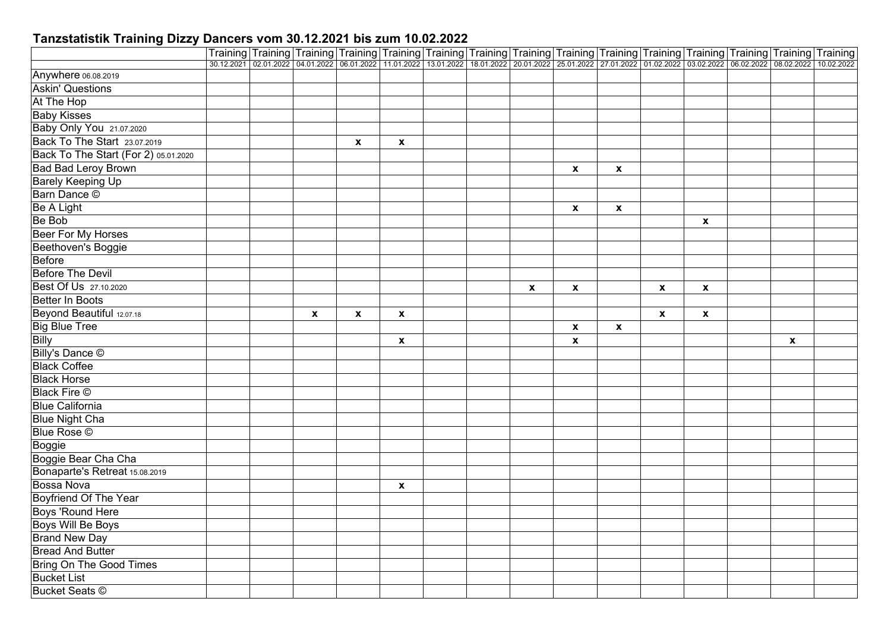|                                      |  |              |                    |                           |  |              |                    |                  | Training Training Training Training Training Training Training Training Training Training Training Training Training Training Training Training Training Training 10:07.2021 08.07.2022 08.07.2022 08.07.2022 11.01.2022 13.01 |                           |              |  |
|--------------------------------------|--|--------------|--------------------|---------------------------|--|--------------|--------------------|------------------|--------------------------------------------------------------------------------------------------------------------------------------------------------------------------------------------------------------------------------|---------------------------|--------------|--|
|                                      |  |              |                    |                           |  |              |                    |                  |                                                                                                                                                                                                                                |                           |              |  |
| Anywhere 06.08.2019                  |  |              |                    |                           |  |              |                    |                  |                                                                                                                                                                                                                                |                           |              |  |
| <b>Askin' Questions</b>              |  |              |                    |                           |  |              |                    |                  |                                                                                                                                                                                                                                |                           |              |  |
| At The Hop                           |  |              |                    |                           |  |              |                    |                  |                                                                                                                                                                                                                                |                           |              |  |
| <b>Baby Kisses</b>                   |  |              |                    |                           |  |              |                    |                  |                                                                                                                                                                                                                                |                           |              |  |
| Baby Only You 21.07.2020             |  |              |                    |                           |  |              |                    |                  |                                                                                                                                                                                                                                |                           |              |  |
| Back To The Start 23.07.2019         |  |              | $\pmb{\mathsf{x}}$ | $\pmb{\mathsf{X}}$        |  |              |                    |                  |                                                                                                                                                                                                                                |                           |              |  |
| Back To The Start (For 2) 05.01.2020 |  |              |                    |                           |  |              |                    |                  |                                                                                                                                                                                                                                |                           |              |  |
| <b>Bad Bad Leroy Brown</b>           |  |              |                    |                           |  |              | X                  | $\boldsymbol{x}$ |                                                                                                                                                                                                                                |                           |              |  |
| <b>Barely Keeping Up</b>             |  |              |                    |                           |  |              |                    |                  |                                                                                                                                                                                                                                |                           |              |  |
| Barn Dance ©                         |  |              |                    |                           |  |              |                    |                  |                                                                                                                                                                                                                                |                           |              |  |
| <b>Be A Light</b>                    |  |              |                    |                           |  |              | $\mathbf{x}$       | $\mathbf{x}$     |                                                                                                                                                                                                                                |                           |              |  |
| Be Bob                               |  |              |                    |                           |  |              |                    |                  |                                                                                                                                                                                                                                | $\boldsymbol{\mathsf{x}}$ |              |  |
| Beer For My Horses                   |  |              |                    |                           |  |              |                    |                  |                                                                                                                                                                                                                                |                           |              |  |
| Beethoven's Boggie                   |  |              |                    |                           |  |              |                    |                  |                                                                                                                                                                                                                                |                           |              |  |
| <b>Before</b>                        |  |              |                    |                           |  |              |                    |                  |                                                                                                                                                                                                                                |                           |              |  |
| <b>Before The Devil</b>              |  |              |                    |                           |  |              |                    |                  |                                                                                                                                                                                                                                |                           |              |  |
| Best Of Us 27.10.2020                |  |              |                    |                           |  | $\mathbf{x}$ | $\mathbf{x}$       |                  | $\mathbf{x}$                                                                                                                                                                                                                   | $\mathbf{x}$              |              |  |
| <b>Better In Boots</b>               |  |              |                    |                           |  |              |                    |                  |                                                                                                                                                                                                                                |                           |              |  |
| Beyond Beautiful 12.07.18            |  | $\pmb{\chi}$ | $\pmb{\mathsf{x}}$ | $\boldsymbol{\mathsf{x}}$ |  |              |                    |                  | $\boldsymbol{\mathsf{x}}$                                                                                                                                                                                                      | $\pmb{\mathsf{x}}$        |              |  |
| <b>Big Blue Tree</b>                 |  |              |                    |                           |  |              | $\mathbf{x}$       | X                |                                                                                                                                                                                                                                |                           |              |  |
| <b>Billy</b>                         |  |              |                    | $\boldsymbol{\mathsf{x}}$ |  |              | $\pmb{\mathsf{x}}$ |                  |                                                                                                                                                                                                                                |                           | $\mathbf{x}$ |  |
| Billy's Dance ©                      |  |              |                    |                           |  |              |                    |                  |                                                                                                                                                                                                                                |                           |              |  |
| <b>Black Coffee</b>                  |  |              |                    |                           |  |              |                    |                  |                                                                                                                                                                                                                                |                           |              |  |
| <b>Black Horse</b>                   |  |              |                    |                           |  |              |                    |                  |                                                                                                                                                                                                                                |                           |              |  |
| <b>Black Fire ©</b>                  |  |              |                    |                           |  |              |                    |                  |                                                                                                                                                                                                                                |                           |              |  |
| <b>Blue California</b>               |  |              |                    |                           |  |              |                    |                  |                                                                                                                                                                                                                                |                           |              |  |
| <b>Blue Night Cha</b>                |  |              |                    |                           |  |              |                    |                  |                                                                                                                                                                                                                                |                           |              |  |
| <b>Blue Rose</b> ©                   |  |              |                    |                           |  |              |                    |                  |                                                                                                                                                                                                                                |                           |              |  |
| Boggie                               |  |              |                    |                           |  |              |                    |                  |                                                                                                                                                                                                                                |                           |              |  |
| Boggie Bear Cha Cha                  |  |              |                    |                           |  |              |                    |                  |                                                                                                                                                                                                                                |                           |              |  |
| Bonaparte's Retreat 15.08.2019       |  |              |                    |                           |  |              |                    |                  |                                                                                                                                                                                                                                |                           |              |  |
| <b>Bossa Nova</b>                    |  |              |                    | $\mathbf{x}$              |  |              |                    |                  |                                                                                                                                                                                                                                |                           |              |  |
| <b>Boyfriend Of The Year</b>         |  |              |                    |                           |  |              |                    |                  |                                                                                                                                                                                                                                |                           |              |  |
| Boys 'Round Here                     |  |              |                    |                           |  |              |                    |                  |                                                                                                                                                                                                                                |                           |              |  |
| <b>Boys Will Be Boys</b>             |  |              |                    |                           |  |              |                    |                  |                                                                                                                                                                                                                                |                           |              |  |
| <b>Brand New Day</b>                 |  |              |                    |                           |  |              |                    |                  |                                                                                                                                                                                                                                |                           |              |  |
| <b>Bread And Butter</b>              |  |              |                    |                           |  |              |                    |                  |                                                                                                                                                                                                                                |                           |              |  |
| <b>Bring On The Good Times</b>       |  |              |                    |                           |  |              |                    |                  |                                                                                                                                                                                                                                |                           |              |  |
| <b>Bucket List</b>                   |  |              |                    |                           |  |              |                    |                  |                                                                                                                                                                                                                                |                           |              |  |
| <b>Bucket Seats ©</b>                |  |              |                    |                           |  |              |                    |                  |                                                                                                                                                                                                                                |                           |              |  |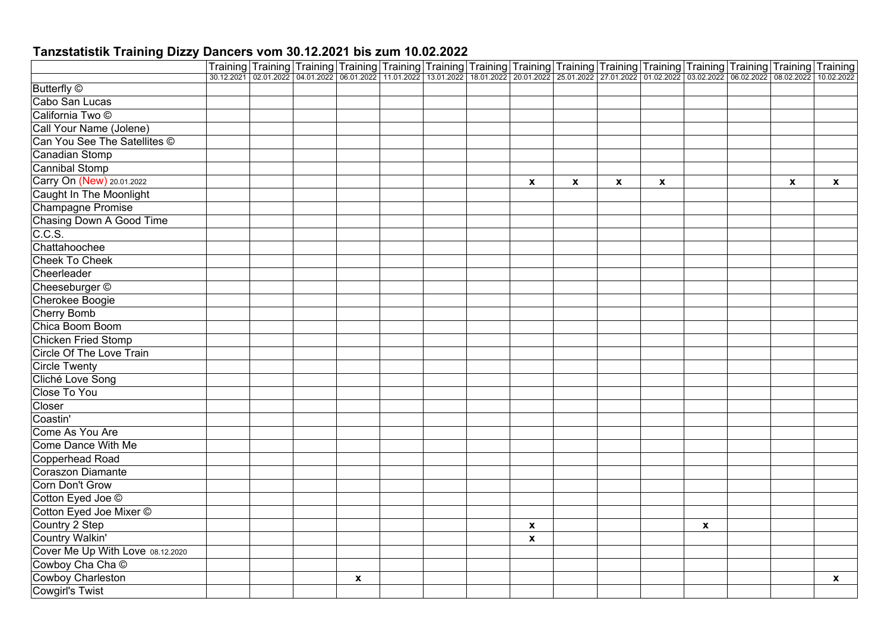| Training Training Training Training Training Training Training Training Training Training Training Training Training Training Training Training Training Training Training Training Training Training Training Training Traini<br><b>Butterfly</b> ©<br>Cabo San Lucas<br>California Two ©<br>Call Your Name (Jolene)<br>Can You See The Satellites ©<br>Canadian Stomp<br><b>Cannibal Stomp</b><br>Carry On (New) 20.01.2022<br>$\mathbf{x}$<br>$\pmb{\mathsf{x}}$<br>$\mathbf{x}$<br>$\mathbf{x}$<br>$\mathbf{x}$<br>$\mathbf{x}$<br><b>Caught In The Moonlight</b><br><b>Champagne Promise</b><br>Chasing Down A Good Time<br>C.C.S.<br>Chattahoochee<br><b>Cheek To Cheek</b><br>Cheerleader<br>Cheeseburger ©<br>Cherokee Boogie<br><b>Cherry Bomb</b><br>Chica Boom Boom<br><b>Chicken Fried Stomp</b><br><b>Circle Of The Love Train</b><br><b>Circle Twenty</b><br>Cliché Love Song<br>Close To You<br>Closer<br>Coastin'<br>Come As You Are<br>Come Dance With Me<br><b>Copperhead Road</b><br><b>Coraszon Diamante</b><br>Corn Don't Grow<br>Cotton Eyed Joe ©<br>Cotton Eyed Joe Mixer ©<br>Country 2 Step<br>$\boldsymbol{x}$<br>X<br><b>Country Walkin'</b><br>$\pmb{\mathsf{x}}$<br>Cover Me Up With Love 08.12.2020<br>Cowboy Cha Cha ©<br>Cowboy Charleston<br>$\mathbf{x}$<br>$\boldsymbol{\mathsf{x}}$<br><b>Cowgirl's Twist</b> |  |  |  |  |  |  |  |  |
|----------------------------------------------------------------------------------------------------------------------------------------------------------------------------------------------------------------------------------------------------------------------------------------------------------------------------------------------------------------------------------------------------------------------------------------------------------------------------------------------------------------------------------------------------------------------------------------------------------------------------------------------------------------------------------------------------------------------------------------------------------------------------------------------------------------------------------------------------------------------------------------------------------------------------------------------------------------------------------------------------------------------------------------------------------------------------------------------------------------------------------------------------------------------------------------------------------------------------------------------------------------------------------------------------------------------------------------------------|--|--|--|--|--|--|--|--|
|                                                                                                                                                                                                                                                                                                                                                                                                                                                                                                                                                                                                                                                                                                                                                                                                                                                                                                                                                                                                                                                                                                                                                                                                                                                                                                                                                    |  |  |  |  |  |  |  |  |
|                                                                                                                                                                                                                                                                                                                                                                                                                                                                                                                                                                                                                                                                                                                                                                                                                                                                                                                                                                                                                                                                                                                                                                                                                                                                                                                                                    |  |  |  |  |  |  |  |  |
|                                                                                                                                                                                                                                                                                                                                                                                                                                                                                                                                                                                                                                                                                                                                                                                                                                                                                                                                                                                                                                                                                                                                                                                                                                                                                                                                                    |  |  |  |  |  |  |  |  |
|                                                                                                                                                                                                                                                                                                                                                                                                                                                                                                                                                                                                                                                                                                                                                                                                                                                                                                                                                                                                                                                                                                                                                                                                                                                                                                                                                    |  |  |  |  |  |  |  |  |
|                                                                                                                                                                                                                                                                                                                                                                                                                                                                                                                                                                                                                                                                                                                                                                                                                                                                                                                                                                                                                                                                                                                                                                                                                                                                                                                                                    |  |  |  |  |  |  |  |  |
|                                                                                                                                                                                                                                                                                                                                                                                                                                                                                                                                                                                                                                                                                                                                                                                                                                                                                                                                                                                                                                                                                                                                                                                                                                                                                                                                                    |  |  |  |  |  |  |  |  |
|                                                                                                                                                                                                                                                                                                                                                                                                                                                                                                                                                                                                                                                                                                                                                                                                                                                                                                                                                                                                                                                                                                                                                                                                                                                                                                                                                    |  |  |  |  |  |  |  |  |
|                                                                                                                                                                                                                                                                                                                                                                                                                                                                                                                                                                                                                                                                                                                                                                                                                                                                                                                                                                                                                                                                                                                                                                                                                                                                                                                                                    |  |  |  |  |  |  |  |  |
|                                                                                                                                                                                                                                                                                                                                                                                                                                                                                                                                                                                                                                                                                                                                                                                                                                                                                                                                                                                                                                                                                                                                                                                                                                                                                                                                                    |  |  |  |  |  |  |  |  |
|                                                                                                                                                                                                                                                                                                                                                                                                                                                                                                                                                                                                                                                                                                                                                                                                                                                                                                                                                                                                                                                                                                                                                                                                                                                                                                                                                    |  |  |  |  |  |  |  |  |
|                                                                                                                                                                                                                                                                                                                                                                                                                                                                                                                                                                                                                                                                                                                                                                                                                                                                                                                                                                                                                                                                                                                                                                                                                                                                                                                                                    |  |  |  |  |  |  |  |  |
|                                                                                                                                                                                                                                                                                                                                                                                                                                                                                                                                                                                                                                                                                                                                                                                                                                                                                                                                                                                                                                                                                                                                                                                                                                                                                                                                                    |  |  |  |  |  |  |  |  |
|                                                                                                                                                                                                                                                                                                                                                                                                                                                                                                                                                                                                                                                                                                                                                                                                                                                                                                                                                                                                                                                                                                                                                                                                                                                                                                                                                    |  |  |  |  |  |  |  |  |
|                                                                                                                                                                                                                                                                                                                                                                                                                                                                                                                                                                                                                                                                                                                                                                                                                                                                                                                                                                                                                                                                                                                                                                                                                                                                                                                                                    |  |  |  |  |  |  |  |  |
|                                                                                                                                                                                                                                                                                                                                                                                                                                                                                                                                                                                                                                                                                                                                                                                                                                                                                                                                                                                                                                                                                                                                                                                                                                                                                                                                                    |  |  |  |  |  |  |  |  |
|                                                                                                                                                                                                                                                                                                                                                                                                                                                                                                                                                                                                                                                                                                                                                                                                                                                                                                                                                                                                                                                                                                                                                                                                                                                                                                                                                    |  |  |  |  |  |  |  |  |
|                                                                                                                                                                                                                                                                                                                                                                                                                                                                                                                                                                                                                                                                                                                                                                                                                                                                                                                                                                                                                                                                                                                                                                                                                                                                                                                                                    |  |  |  |  |  |  |  |  |
|                                                                                                                                                                                                                                                                                                                                                                                                                                                                                                                                                                                                                                                                                                                                                                                                                                                                                                                                                                                                                                                                                                                                                                                                                                                                                                                                                    |  |  |  |  |  |  |  |  |
|                                                                                                                                                                                                                                                                                                                                                                                                                                                                                                                                                                                                                                                                                                                                                                                                                                                                                                                                                                                                                                                                                                                                                                                                                                                                                                                                                    |  |  |  |  |  |  |  |  |
|                                                                                                                                                                                                                                                                                                                                                                                                                                                                                                                                                                                                                                                                                                                                                                                                                                                                                                                                                                                                                                                                                                                                                                                                                                                                                                                                                    |  |  |  |  |  |  |  |  |
|                                                                                                                                                                                                                                                                                                                                                                                                                                                                                                                                                                                                                                                                                                                                                                                                                                                                                                                                                                                                                                                                                                                                                                                                                                                                                                                                                    |  |  |  |  |  |  |  |  |
|                                                                                                                                                                                                                                                                                                                                                                                                                                                                                                                                                                                                                                                                                                                                                                                                                                                                                                                                                                                                                                                                                                                                                                                                                                                                                                                                                    |  |  |  |  |  |  |  |  |
|                                                                                                                                                                                                                                                                                                                                                                                                                                                                                                                                                                                                                                                                                                                                                                                                                                                                                                                                                                                                                                                                                                                                                                                                                                                                                                                                                    |  |  |  |  |  |  |  |  |
|                                                                                                                                                                                                                                                                                                                                                                                                                                                                                                                                                                                                                                                                                                                                                                                                                                                                                                                                                                                                                                                                                                                                                                                                                                                                                                                                                    |  |  |  |  |  |  |  |  |
|                                                                                                                                                                                                                                                                                                                                                                                                                                                                                                                                                                                                                                                                                                                                                                                                                                                                                                                                                                                                                                                                                                                                                                                                                                                                                                                                                    |  |  |  |  |  |  |  |  |
|                                                                                                                                                                                                                                                                                                                                                                                                                                                                                                                                                                                                                                                                                                                                                                                                                                                                                                                                                                                                                                                                                                                                                                                                                                                                                                                                                    |  |  |  |  |  |  |  |  |
|                                                                                                                                                                                                                                                                                                                                                                                                                                                                                                                                                                                                                                                                                                                                                                                                                                                                                                                                                                                                                                                                                                                                                                                                                                                                                                                                                    |  |  |  |  |  |  |  |  |
|                                                                                                                                                                                                                                                                                                                                                                                                                                                                                                                                                                                                                                                                                                                                                                                                                                                                                                                                                                                                                                                                                                                                                                                                                                                                                                                                                    |  |  |  |  |  |  |  |  |
|                                                                                                                                                                                                                                                                                                                                                                                                                                                                                                                                                                                                                                                                                                                                                                                                                                                                                                                                                                                                                                                                                                                                                                                                                                                                                                                                                    |  |  |  |  |  |  |  |  |
|                                                                                                                                                                                                                                                                                                                                                                                                                                                                                                                                                                                                                                                                                                                                                                                                                                                                                                                                                                                                                                                                                                                                                                                                                                                                                                                                                    |  |  |  |  |  |  |  |  |
|                                                                                                                                                                                                                                                                                                                                                                                                                                                                                                                                                                                                                                                                                                                                                                                                                                                                                                                                                                                                                                                                                                                                                                                                                                                                                                                                                    |  |  |  |  |  |  |  |  |
|                                                                                                                                                                                                                                                                                                                                                                                                                                                                                                                                                                                                                                                                                                                                                                                                                                                                                                                                                                                                                                                                                                                                                                                                                                                                                                                                                    |  |  |  |  |  |  |  |  |
|                                                                                                                                                                                                                                                                                                                                                                                                                                                                                                                                                                                                                                                                                                                                                                                                                                                                                                                                                                                                                                                                                                                                                                                                                                                                                                                                                    |  |  |  |  |  |  |  |  |
|                                                                                                                                                                                                                                                                                                                                                                                                                                                                                                                                                                                                                                                                                                                                                                                                                                                                                                                                                                                                                                                                                                                                                                                                                                                                                                                                                    |  |  |  |  |  |  |  |  |
|                                                                                                                                                                                                                                                                                                                                                                                                                                                                                                                                                                                                                                                                                                                                                                                                                                                                                                                                                                                                                                                                                                                                                                                                                                                                                                                                                    |  |  |  |  |  |  |  |  |
|                                                                                                                                                                                                                                                                                                                                                                                                                                                                                                                                                                                                                                                                                                                                                                                                                                                                                                                                                                                                                                                                                                                                                                                                                                                                                                                                                    |  |  |  |  |  |  |  |  |
|                                                                                                                                                                                                                                                                                                                                                                                                                                                                                                                                                                                                                                                                                                                                                                                                                                                                                                                                                                                                                                                                                                                                                                                                                                                                                                                                                    |  |  |  |  |  |  |  |  |
|                                                                                                                                                                                                                                                                                                                                                                                                                                                                                                                                                                                                                                                                                                                                                                                                                                                                                                                                                                                                                                                                                                                                                                                                                                                                                                                                                    |  |  |  |  |  |  |  |  |
|                                                                                                                                                                                                                                                                                                                                                                                                                                                                                                                                                                                                                                                                                                                                                                                                                                                                                                                                                                                                                                                                                                                                                                                                                                                                                                                                                    |  |  |  |  |  |  |  |  |
|                                                                                                                                                                                                                                                                                                                                                                                                                                                                                                                                                                                                                                                                                                                                                                                                                                                                                                                                                                                                                                                                                                                                                                                                                                                                                                                                                    |  |  |  |  |  |  |  |  |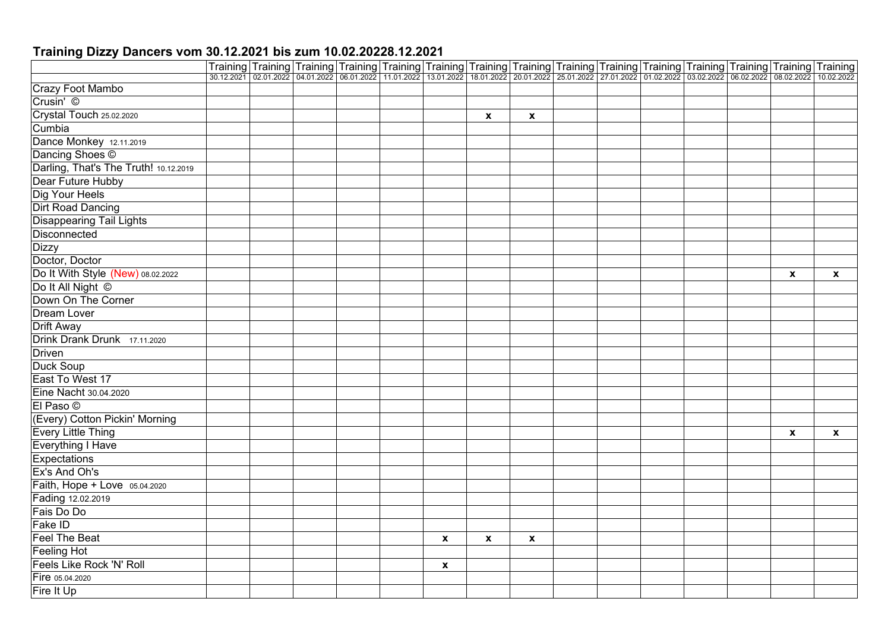## **Training Dizzy Dancers vom 30.12.2021 bis zum 10.02.20228.12.2021**

|                                       | Training Training Training Training Training Training Training Training Training Training Training Training Training Training Training Training Training Training Training Training Training Training Training Training Traini |  |                           |             |              |  |  |                    |              |
|---------------------------------------|--------------------------------------------------------------------------------------------------------------------------------------------------------------------------------------------------------------------------------|--|---------------------------|-------------|--------------|--|--|--------------------|--------------|
|                                       |                                                                                                                                                                                                                                |  |                           |             |              |  |  |                    |              |
| <b>Crazy Foot Mambo</b>               |                                                                                                                                                                                                                                |  |                           |             |              |  |  |                    |              |
| Crusin' ©                             |                                                                                                                                                                                                                                |  |                           |             |              |  |  |                    |              |
| Crystal Touch 25.02.2020              |                                                                                                                                                                                                                                |  |                           | X           | $\mathbf{x}$ |  |  |                    |              |
| Cumbia                                |                                                                                                                                                                                                                                |  |                           |             |              |  |  |                    |              |
| Dance Monkey 12.11.2019               |                                                                                                                                                                                                                                |  |                           |             |              |  |  |                    |              |
| Dancing Shoes ©                       |                                                                                                                                                                                                                                |  |                           |             |              |  |  |                    |              |
| Darling, That's The Truth! 10.12.2019 |                                                                                                                                                                                                                                |  |                           |             |              |  |  |                    |              |
| Dear Future Hubby                     |                                                                                                                                                                                                                                |  |                           |             |              |  |  |                    |              |
| Dig Your Heels                        |                                                                                                                                                                                                                                |  |                           |             |              |  |  |                    |              |
| <b>Dirt Road Dancing</b>              |                                                                                                                                                                                                                                |  |                           |             |              |  |  |                    |              |
| <b>Disappearing Tail Lights</b>       |                                                                                                                                                                                                                                |  |                           |             |              |  |  |                    |              |
| <b>Disconnected</b>                   |                                                                                                                                                                                                                                |  |                           |             |              |  |  |                    |              |
| <b>Dizzy</b>                          |                                                                                                                                                                                                                                |  |                           |             |              |  |  |                    |              |
| Doctor, Doctor                        |                                                                                                                                                                                                                                |  |                           |             |              |  |  |                    |              |
| Do It With Style (New) 08.02.2022     |                                                                                                                                                                                                                                |  |                           |             |              |  |  | $\pmb{\mathsf{x}}$ | $\mathbf{x}$ |
| Do It All Night ©                     |                                                                                                                                                                                                                                |  |                           |             |              |  |  |                    |              |
| Down On The Corner                    |                                                                                                                                                                                                                                |  |                           |             |              |  |  |                    |              |
| <b>Dream Lover</b>                    |                                                                                                                                                                                                                                |  |                           |             |              |  |  |                    |              |
| <b>Drift Away</b>                     |                                                                                                                                                                                                                                |  |                           |             |              |  |  |                    |              |
| Drink Drank Drunk 17.11.2020          |                                                                                                                                                                                                                                |  |                           |             |              |  |  |                    |              |
| <b>Driven</b>                         |                                                                                                                                                                                                                                |  |                           |             |              |  |  |                    |              |
| Duck Soup                             |                                                                                                                                                                                                                                |  |                           |             |              |  |  |                    |              |
| East To West 17                       |                                                                                                                                                                                                                                |  |                           |             |              |  |  |                    |              |
| Eine Nacht 30.04.2020                 |                                                                                                                                                                                                                                |  |                           |             |              |  |  |                    |              |
| El Paso ©                             |                                                                                                                                                                                                                                |  |                           |             |              |  |  |                    |              |
| (Every) Cotton Pickin' Morning        |                                                                                                                                                                                                                                |  |                           |             |              |  |  |                    |              |
| <b>Every Little Thing</b>             |                                                                                                                                                                                                                                |  |                           |             |              |  |  | $\mathbf{x}$       | $\mathbf{x}$ |
| Everything I Have                     |                                                                                                                                                                                                                                |  |                           |             |              |  |  |                    |              |
| Expectations                          |                                                                                                                                                                                                                                |  |                           |             |              |  |  |                    |              |
| Ex's And Oh's                         |                                                                                                                                                                                                                                |  |                           |             |              |  |  |                    |              |
| Faith, Hope + Love 05.04.2020         |                                                                                                                                                                                                                                |  |                           |             |              |  |  |                    |              |
| Fading 12.02.2019                     |                                                                                                                                                                                                                                |  |                           |             |              |  |  |                    |              |
| Fais Do Do                            |                                                                                                                                                                                                                                |  |                           |             |              |  |  |                    |              |
| Fake ID                               |                                                                                                                                                                                                                                |  |                           |             |              |  |  |                    |              |
| <b>Feel The Beat</b>                  |                                                                                                                                                                                                                                |  | $\mathbf{x}$              | $\mathbf x$ | $\mathbf{x}$ |  |  |                    |              |
| <b>Feeling Hot</b>                    |                                                                                                                                                                                                                                |  |                           |             |              |  |  |                    |              |
| Feels Like Rock 'N' Roll              |                                                                                                                                                                                                                                |  | $\boldsymbol{\mathsf{x}}$ |             |              |  |  |                    |              |
| Fire 05.04.2020                       |                                                                                                                                                                                                                                |  |                           |             |              |  |  |                    |              |
| Fire It Up                            |                                                                                                                                                                                                                                |  |                           |             |              |  |  |                    |              |
|                                       |                                                                                                                                                                                                                                |  |                           |             |              |  |  |                    |              |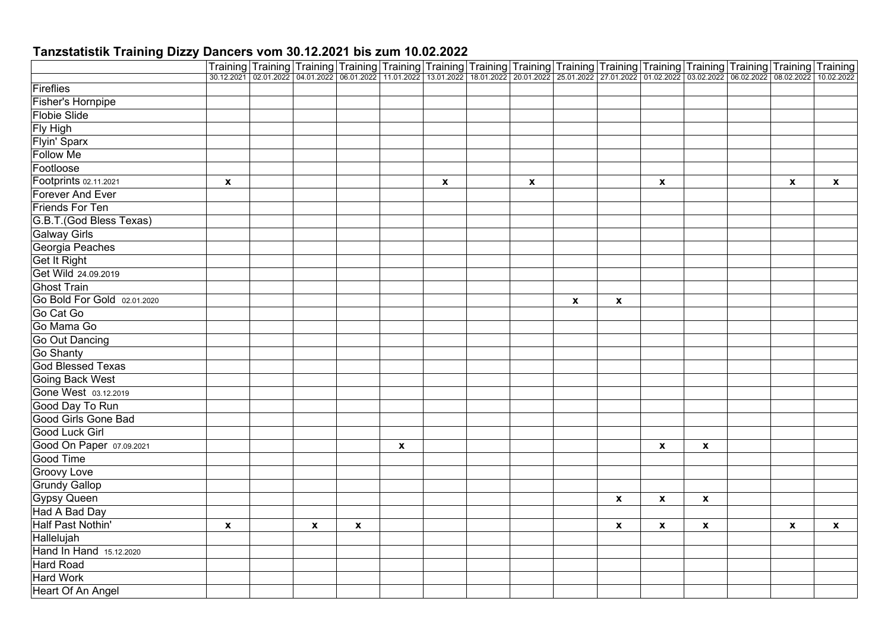|                             |              |              | Training Training Training Training Training Training Training Training Training Training Training Training Training Training Training Training Training Training Training Training Training Training Training Training Traini |                           |              |                           |             |                    |                           |                           |                           |              |
|-----------------------------|--------------|--------------|--------------------------------------------------------------------------------------------------------------------------------------------------------------------------------------------------------------------------------|---------------------------|--------------|---------------------------|-------------|--------------------|---------------------------|---------------------------|---------------------------|--------------|
|                             |              |              |                                                                                                                                                                                                                                |                           |              |                           |             |                    |                           |                           |                           |              |
| Fireflies                   |              |              |                                                                                                                                                                                                                                |                           |              |                           |             |                    |                           |                           |                           |              |
| Fisher's Hornpipe           |              |              |                                                                                                                                                                                                                                |                           |              |                           |             |                    |                           |                           |                           |              |
| <b>Flobie Slide</b>         |              |              |                                                                                                                                                                                                                                |                           |              |                           |             |                    |                           |                           |                           |              |
| Fly High                    |              |              |                                                                                                                                                                                                                                |                           |              |                           |             |                    |                           |                           |                           |              |
| Flyin' Sparx                |              |              |                                                                                                                                                                                                                                |                           |              |                           |             |                    |                           |                           |                           |              |
| <b>Follow Me</b>            |              |              |                                                                                                                                                                                                                                |                           |              |                           |             |                    |                           |                           |                           |              |
| Footloose                   |              |              |                                                                                                                                                                                                                                |                           |              |                           |             |                    |                           |                           |                           |              |
| Footprints 02.11.2021       | X            |              |                                                                                                                                                                                                                                |                           | $\pmb{\chi}$ | $\boldsymbol{\mathsf{X}}$ |             |                    | $\boldsymbol{\mathsf{x}}$ |                           | $\boldsymbol{\mathsf{x}}$ | $\mathbf{x}$ |
| <b>Forever And Ever</b>     |              |              |                                                                                                                                                                                                                                |                           |              |                           |             |                    |                           |                           |                           |              |
| <b>Friends For Ten</b>      |              |              |                                                                                                                                                                                                                                |                           |              |                           |             |                    |                           |                           |                           |              |
| G.B.T.(God Bless Texas)     |              |              |                                                                                                                                                                                                                                |                           |              |                           |             |                    |                           |                           |                           |              |
| <b>Galway Girls</b>         |              |              |                                                                                                                                                                                                                                |                           |              |                           |             |                    |                           |                           |                           |              |
| Georgia Peaches             |              |              |                                                                                                                                                                                                                                |                           |              |                           |             |                    |                           |                           |                           |              |
| <b>Get It Right</b>         |              |              |                                                                                                                                                                                                                                |                           |              |                           |             |                    |                           |                           |                           |              |
| Get Wild 24.09.2019         |              |              |                                                                                                                                                                                                                                |                           |              |                           |             |                    |                           |                           |                           |              |
| <b>Ghost Train</b>          |              |              |                                                                                                                                                                                                                                |                           |              |                           |             |                    |                           |                           |                           |              |
| Go Bold For Gold 02.01.2020 |              |              |                                                                                                                                                                                                                                |                           |              |                           | $\mathbf x$ | $\pmb{\mathsf{x}}$ |                           |                           |                           |              |
| Go Cat Go                   |              |              |                                                                                                                                                                                                                                |                           |              |                           |             |                    |                           |                           |                           |              |
| Go Mama Go                  |              |              |                                                                                                                                                                                                                                |                           |              |                           |             |                    |                           |                           |                           |              |
| Go Out Dancing              |              |              |                                                                                                                                                                                                                                |                           |              |                           |             |                    |                           |                           |                           |              |
| <b>Go Shanty</b>            |              |              |                                                                                                                                                                                                                                |                           |              |                           |             |                    |                           |                           |                           |              |
| God Blessed Texas           |              |              |                                                                                                                                                                                                                                |                           |              |                           |             |                    |                           |                           |                           |              |
| <b>Going Back West</b>      |              |              |                                                                                                                                                                                                                                |                           |              |                           |             |                    |                           |                           |                           |              |
| Gone West 03.12.2019        |              |              |                                                                                                                                                                                                                                |                           |              |                           |             |                    |                           |                           |                           |              |
| Good Day To Run             |              |              |                                                                                                                                                                                                                                |                           |              |                           |             |                    |                           |                           |                           |              |
| <b>Good Girls Gone Bad</b>  |              |              |                                                                                                                                                                                                                                |                           |              |                           |             |                    |                           |                           |                           |              |
| Good Luck Girl              |              |              |                                                                                                                                                                                                                                |                           |              |                           |             |                    |                           |                           |                           |              |
| Good On Paper 07.09.2021    |              |              |                                                                                                                                                                                                                                | $\boldsymbol{\mathsf{x}}$ |              |                           |             |                    | $\mathbf{x}$              | $\pmb{\mathsf{x}}$        |                           |              |
| Good Time                   |              |              |                                                                                                                                                                                                                                |                           |              |                           |             |                    |                           |                           |                           |              |
| <b>Groovy Love</b>          |              |              |                                                                                                                                                                                                                                |                           |              |                           |             |                    |                           |                           |                           |              |
| <b>Grundy Gallop</b>        |              |              |                                                                                                                                                                                                                                |                           |              |                           |             |                    |                           |                           |                           |              |
| <b>Gypsy Queen</b>          |              |              |                                                                                                                                                                                                                                |                           |              |                           |             | $\pmb{\mathsf{x}}$ | $\boldsymbol{x}$          | $\pmb{\chi}$              |                           |              |
| Had A Bad Day               |              |              |                                                                                                                                                                                                                                |                           |              |                           |             |                    |                           |                           |                           |              |
| Half Past Nothin'           | $\mathbf{x}$ | $\mathbf{x}$ | $\pmb{\mathsf{x}}$                                                                                                                                                                                                             |                           |              |                           |             | $\mathbf{x}$       | X                         | $\boldsymbol{\mathsf{x}}$ | $\mathbf{x}$              | $\mathbf{x}$ |
| Hallelujah                  |              |              |                                                                                                                                                                                                                                |                           |              |                           |             |                    |                           |                           |                           |              |
| Hand In Hand 15.12.2020     |              |              |                                                                                                                                                                                                                                |                           |              |                           |             |                    |                           |                           |                           |              |
| <b>Hard Road</b>            |              |              |                                                                                                                                                                                                                                |                           |              |                           |             |                    |                           |                           |                           |              |
| <b>Hard Work</b>            |              |              |                                                                                                                                                                                                                                |                           |              |                           |             |                    |                           |                           |                           |              |
| Heart Of An Angel           |              |              |                                                                                                                                                                                                                                |                           |              |                           |             |                    |                           |                           |                           |              |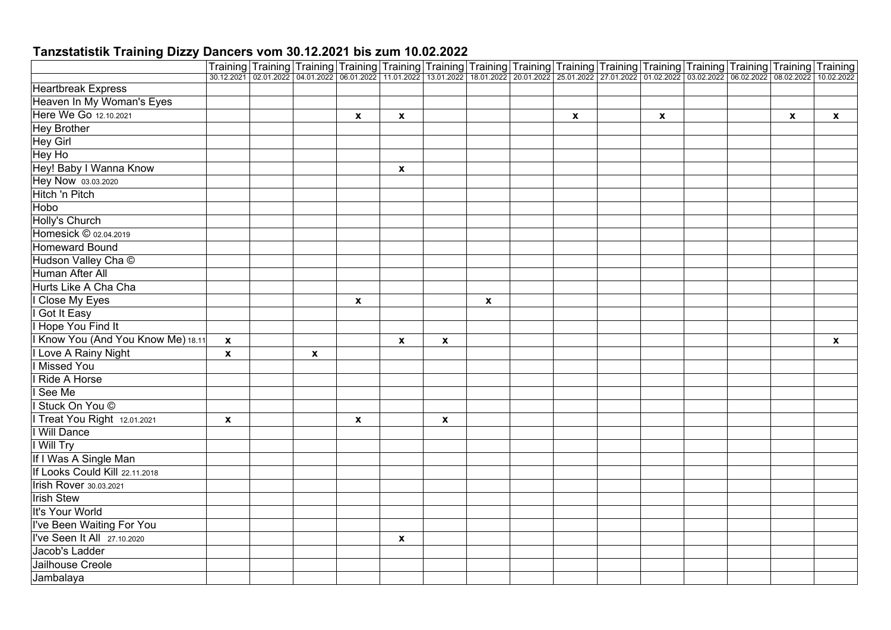|                                    |                    | Training Training Training Training Training Training Training Training Training Training Training Training Training Training Training                                                     |             |                    |                           |                    |              |              |   |  |   |              |
|------------------------------------|--------------------|--------------------------------------------------------------------------------------------------------------------------------------------------------------------------------------------|-------------|--------------------|---------------------------|--------------------|--------------|--------------|---|--|---|--------------|
|                                    |                    | 30.12.2021 02.01.2022 04.01.2022 06.01.2022 11.01.2022 13.01.2022 18.01.2022 20.01.2022 25.01.2022 27.01.2022 01.02.2022 03.02.2022 03.02.2022 08.02.2022 03.02.2022 05.02.2022 10.02.2022 |             |                    |                           |                    |              |              |   |  |   |              |
| <b>Heartbreak Express</b>          |                    |                                                                                                                                                                                            |             |                    |                           |                    |              |              |   |  |   |              |
| Heaven In My Woman's Eyes          |                    |                                                                                                                                                                                            |             |                    |                           |                    |              |              |   |  |   |              |
| Here We Go 12.10.2021              |                    |                                                                                                                                                                                            |             | X                  | $\pmb{\mathsf{X}}$        |                    |              | $\mathbf{x}$ | X |  | X | $\mathbf{x}$ |
| <b>Hey Brother</b>                 |                    |                                                                                                                                                                                            |             |                    |                           |                    |              |              |   |  |   |              |
| Hey Girl                           |                    |                                                                                                                                                                                            |             |                    |                           |                    |              |              |   |  |   |              |
| Hey Ho                             |                    |                                                                                                                                                                                            |             |                    |                           |                    |              |              |   |  |   |              |
| Hey! Baby I Wanna Know             |                    |                                                                                                                                                                                            |             |                    | $\mathbf{x}$              |                    |              |              |   |  |   |              |
| Hey Now 03.03.2020                 |                    |                                                                                                                                                                                            |             |                    |                           |                    |              |              |   |  |   |              |
| Hitch 'n Pitch                     |                    |                                                                                                                                                                                            |             |                    |                           |                    |              |              |   |  |   |              |
| Hobo                               |                    |                                                                                                                                                                                            |             |                    |                           |                    |              |              |   |  |   |              |
| <b>Holly's Church</b>              |                    |                                                                                                                                                                                            |             |                    |                           |                    |              |              |   |  |   |              |
| Homesick © 02.04.2019              |                    |                                                                                                                                                                                            |             |                    |                           |                    |              |              |   |  |   |              |
| <b>Homeward Bound</b>              |                    |                                                                                                                                                                                            |             |                    |                           |                    |              |              |   |  |   |              |
| Hudson Valley Cha ©                |                    |                                                                                                                                                                                            |             |                    |                           |                    |              |              |   |  |   |              |
| Human After All                    |                    |                                                                                                                                                                                            |             |                    |                           |                    |              |              |   |  |   |              |
| Hurts Like A Cha Cha               |                    |                                                                                                                                                                                            |             |                    |                           |                    |              |              |   |  |   |              |
| I Close My Eyes                    |                    |                                                                                                                                                                                            |             | $\pmb{\mathsf{x}}$ |                           |                    | $\pmb{\chi}$ |              |   |  |   |              |
| I Got It Easy                      |                    |                                                                                                                                                                                            |             |                    |                           |                    |              |              |   |  |   |              |
| I Hope You Find It                 |                    |                                                                                                                                                                                            |             |                    |                           |                    |              |              |   |  |   |              |
| I Know You (And You Know Me) 18.11 | $\mathbf{x}$       |                                                                                                                                                                                            |             |                    | $\boldsymbol{\mathsf{x}}$ | $\pmb{\chi}$       |              |              |   |  |   | $\mathbf{x}$ |
| I Love A Rainy Night               | $\pmb{\mathsf{x}}$ |                                                                                                                                                                                            | $\mathbf x$ |                    |                           |                    |              |              |   |  |   |              |
| I Missed You                       |                    |                                                                                                                                                                                            |             |                    |                           |                    |              |              |   |  |   |              |
| I Ride A Horse                     |                    |                                                                                                                                                                                            |             |                    |                           |                    |              |              |   |  |   |              |
| I See Me                           |                    |                                                                                                                                                                                            |             |                    |                           |                    |              |              |   |  |   |              |
| I Stuck On You ©                   |                    |                                                                                                                                                                                            |             |                    |                           |                    |              |              |   |  |   |              |
| I Treat You Right 12.01.2021       | $\pmb{\mathsf{x}}$ |                                                                                                                                                                                            |             | $\pmb{\mathsf{x}}$ |                           | $\pmb{\mathsf{x}}$ |              |              |   |  |   |              |
| I Will Dance                       |                    |                                                                                                                                                                                            |             |                    |                           |                    |              |              |   |  |   |              |
| I Will Try                         |                    |                                                                                                                                                                                            |             |                    |                           |                    |              |              |   |  |   |              |
| If I Was A Single Man              |                    |                                                                                                                                                                                            |             |                    |                           |                    |              |              |   |  |   |              |
| If Looks Could Kill 22.11.2018     |                    |                                                                                                                                                                                            |             |                    |                           |                    |              |              |   |  |   |              |
| <b>Irish Rover</b> 30.03.2021      |                    |                                                                                                                                                                                            |             |                    |                           |                    |              |              |   |  |   |              |
| <b>Irish Stew</b>                  |                    |                                                                                                                                                                                            |             |                    |                           |                    |              |              |   |  |   |              |
| It's Your World                    |                    |                                                                                                                                                                                            |             |                    |                           |                    |              |              |   |  |   |              |
| I've Been Waiting For You          |                    |                                                                                                                                                                                            |             |                    |                           |                    |              |              |   |  |   |              |
| I've Seen It All 27.10.2020        |                    |                                                                                                                                                                                            |             |                    | $\pmb{\mathsf{X}}$        |                    |              |              |   |  |   |              |
| Jacob's Ladder                     |                    |                                                                                                                                                                                            |             |                    |                           |                    |              |              |   |  |   |              |
| Jailhouse Creole                   |                    |                                                                                                                                                                                            |             |                    |                           |                    |              |              |   |  |   |              |
| Jambalaya                          |                    |                                                                                                                                                                                            |             |                    |                           |                    |              |              |   |  |   |              |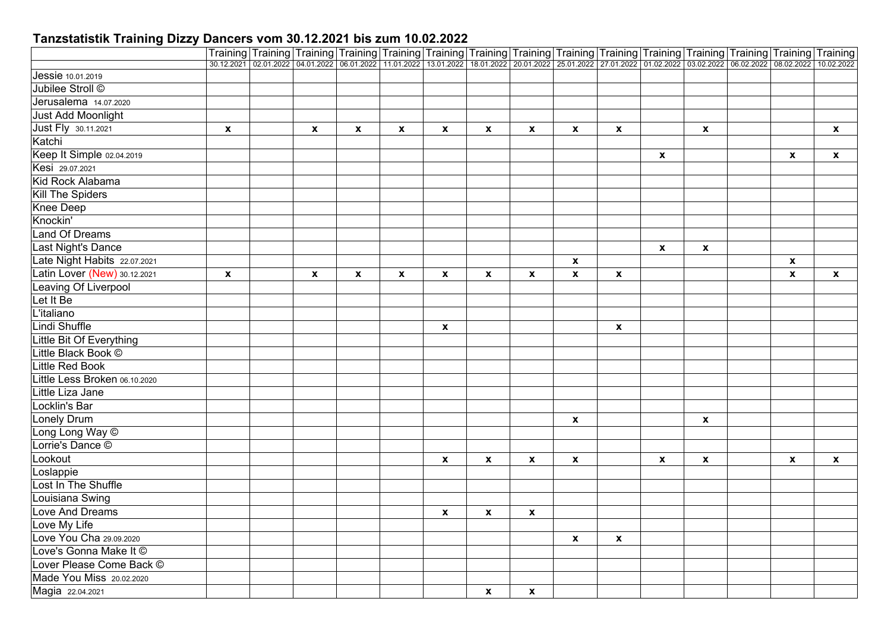|                               |                           |                    |                    |                    | Training Training Training Training Training Training Training Training Training Training Training Training Training Training Training Training Training                                   |                    |                    |                    |                           |                    |                    |                           |                           |
|-------------------------------|---------------------------|--------------------|--------------------|--------------------|--------------------------------------------------------------------------------------------------------------------------------------------------------------------------------------------|--------------------|--------------------|--------------------|---------------------------|--------------------|--------------------|---------------------------|---------------------------|
|                               |                           |                    |                    |                    | 30.12.2021 02.01.2022 04.01.2022 06.01.2022 11.01.2022 13.01.2022 18.01.2022 20.01.2022 25.01.2022 27.01.2022 01.02.2022 03.02.2022 03.02.2022 08.02.2022 03.02.2022 05.02.2022 10.02.2022 |                    |                    |                    |                           |                    |                    |                           |                           |
| Jessie 10.01.2019             |                           |                    |                    |                    |                                                                                                                                                                                            |                    |                    |                    |                           |                    |                    |                           |                           |
| Jubilee Stroll ©              |                           |                    |                    |                    |                                                                                                                                                                                            |                    |                    |                    |                           |                    |                    |                           |                           |
| Jerusalema 14.07.2020         |                           |                    |                    |                    |                                                                                                                                                                                            |                    |                    |                    |                           |                    |                    |                           |                           |
| Just Add Moonlight            |                           |                    |                    |                    |                                                                                                                                                                                            |                    |                    |                    |                           |                    |                    |                           |                           |
| Just Fly 30.11.2021           | $\boldsymbol{\mathsf{x}}$ | $\pmb{\mathsf{x}}$ | $\pmb{\mathsf{x}}$ | $\pmb{\mathsf{x}}$ | $\pmb{\mathsf{x}}$                                                                                                                                                                         | $\pmb{\mathsf{x}}$ | $\pmb{\mathsf{x}}$ | $\pmb{\mathsf{x}}$ | $\boldsymbol{\mathsf{X}}$ |                    | $\mathbf{x}$       |                           | $\mathbf{x}$              |
| Katchi                        |                           |                    |                    |                    |                                                                                                                                                                                            |                    |                    |                    |                           |                    |                    |                           |                           |
| Keep It Simple 02.04.2019     |                           |                    |                    |                    |                                                                                                                                                                                            |                    |                    |                    |                           | $\pmb{\mathsf{x}}$ |                    | $\boldsymbol{\mathsf{x}}$ | $\boldsymbol{\mathsf{x}}$ |
| Kesi 29.07.2021               |                           |                    |                    |                    |                                                                                                                                                                                            |                    |                    |                    |                           |                    |                    |                           |                           |
| Kid Rock Alabama              |                           |                    |                    |                    |                                                                                                                                                                                            |                    |                    |                    |                           |                    |                    |                           |                           |
| Kill The Spiders              |                           |                    |                    |                    |                                                                                                                                                                                            |                    |                    |                    |                           |                    |                    |                           |                           |
| <b>Knee Deep</b>              |                           |                    |                    |                    |                                                                                                                                                                                            |                    |                    |                    |                           |                    |                    |                           |                           |
| Knockin'                      |                           |                    |                    |                    |                                                                                                                                                                                            |                    |                    |                    |                           |                    |                    |                           |                           |
| <b>Land Of Dreams</b>         |                           |                    |                    |                    |                                                                                                                                                                                            |                    |                    |                    |                           |                    |                    |                           |                           |
| Last Night's Dance            |                           |                    |                    |                    |                                                                                                                                                                                            |                    |                    |                    |                           | $\pmb{\mathsf{x}}$ | $\pmb{\mathsf{x}}$ |                           |                           |
| Late Night Habits 22.07.2021  |                           |                    |                    |                    |                                                                                                                                                                                            |                    |                    | $\pmb{\mathsf{x}}$ |                           |                    |                    | $\mathbf{x}$              |                           |
| Latin Lover (New) 30.12.2021  | $\boldsymbol{x}$          | $\pmb{\chi}$       | $\pmb{\mathsf{x}}$ | $\pmb{\chi}$       | $\pmb{\mathsf{x}}$                                                                                                                                                                         | $\pmb{\mathsf{x}}$ | $\mathbf{x}$       | $\mathbf{x}$       | $\pmb{\mathsf{x}}$        |                    |                    | $\mathbf{x}$              | $\mathbf{x}$              |
| Leaving Of Liverpool          |                           |                    |                    |                    |                                                                                                                                                                                            |                    |                    |                    |                           |                    |                    |                           |                           |
| Let It Be                     |                           |                    |                    |                    |                                                                                                                                                                                            |                    |                    |                    |                           |                    |                    |                           |                           |
| L'italiano                    |                           |                    |                    |                    |                                                                                                                                                                                            |                    |                    |                    |                           |                    |                    |                           |                           |
| Lindi Shuffle                 |                           |                    |                    |                    | X                                                                                                                                                                                          |                    |                    |                    | $\mathbf{x}$              |                    |                    |                           |                           |
| Little Bit Of Everything      |                           |                    |                    |                    |                                                                                                                                                                                            |                    |                    |                    |                           |                    |                    |                           |                           |
| Little Black Book ©           |                           |                    |                    |                    |                                                                                                                                                                                            |                    |                    |                    |                           |                    |                    |                           |                           |
| <b>Little Red Book</b>        |                           |                    |                    |                    |                                                                                                                                                                                            |                    |                    |                    |                           |                    |                    |                           |                           |
| Little Less Broken 06.10.2020 |                           |                    |                    |                    |                                                                                                                                                                                            |                    |                    |                    |                           |                    |                    |                           |                           |
| Little Liza Jane              |                           |                    |                    |                    |                                                                                                                                                                                            |                    |                    |                    |                           |                    |                    |                           |                           |
| Locklin's Bar                 |                           |                    |                    |                    |                                                                                                                                                                                            |                    |                    |                    |                           |                    |                    |                           |                           |
| <b>Lonely Drum</b>            |                           |                    |                    |                    |                                                                                                                                                                                            |                    |                    | $\pmb{\mathsf{X}}$ |                           |                    | $\mathbf{x}$       |                           |                           |
| Long Long Way ©               |                           |                    |                    |                    |                                                                                                                                                                                            |                    |                    |                    |                           |                    |                    |                           |                           |
| Lorrie's Dance ©              |                           |                    |                    |                    |                                                                                                                                                                                            |                    |                    |                    |                           |                    |                    |                           |                           |
| Lookout                       |                           |                    |                    |                    | $\pmb{\mathsf{x}}$                                                                                                                                                                         | $\pmb{\mathsf{x}}$ | $\boldsymbol{x}$   | $\mathbf x$        |                           | $\mathbf{x}$       | $\mathbf{x}$       | $\mathbf{x}$              | $\mathbf{x}$              |
| Loslappie                     |                           |                    |                    |                    |                                                                                                                                                                                            |                    |                    |                    |                           |                    |                    |                           |                           |
| Lost In The Shuffle           |                           |                    |                    |                    |                                                                                                                                                                                            |                    |                    |                    |                           |                    |                    |                           |                           |
| Louisiana Swing               |                           |                    |                    |                    |                                                                                                                                                                                            |                    |                    |                    |                           |                    |                    |                           |                           |
| Love And Dreams               |                           |                    |                    |                    | $\pmb{\mathsf{x}}$                                                                                                                                                                         | $\pmb{\mathsf{x}}$ | $\pmb{\mathsf{x}}$ |                    |                           |                    |                    |                           |                           |
| Love My Life                  |                           |                    |                    |                    |                                                                                                                                                                                            |                    |                    |                    |                           |                    |                    |                           |                           |
| Love You Cha 29.09.2020       |                           |                    |                    |                    |                                                                                                                                                                                            |                    |                    | $\pmb{\mathsf{x}}$ | $\pmb{\mathsf{x}}$        |                    |                    |                           |                           |
| Love's Gonna Make It ©        |                           |                    |                    |                    |                                                                                                                                                                                            |                    |                    |                    |                           |                    |                    |                           |                           |
| Lover Please Come Back ©      |                           |                    |                    |                    |                                                                                                                                                                                            |                    |                    |                    |                           |                    |                    |                           |                           |
| Made You Miss 20.02.2020      |                           |                    |                    |                    |                                                                                                                                                                                            |                    |                    |                    |                           |                    |                    |                           |                           |
| Magia 22.04.2021              |                           |                    |                    |                    |                                                                                                                                                                                            | X                  | $\boldsymbol{x}$   |                    |                           |                    |                    |                           |                           |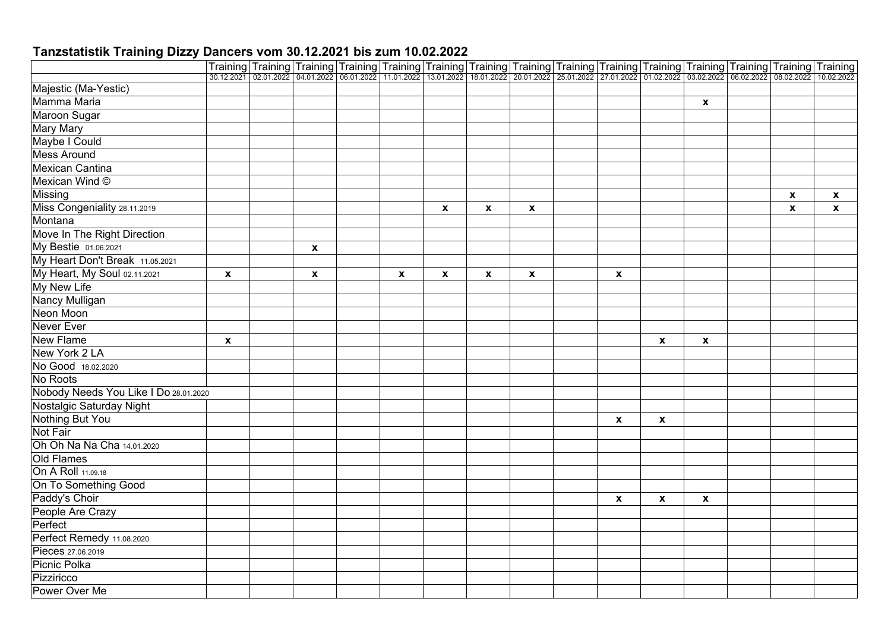| Training Training Training Training Training Training Training Training Training Training Training Training Training Training Training Training Training 10.07.2021 06.07.2022 06.07.2022 11.01.2022 13.01.2022 10.02.2022 20.<br>Majestic (Ma-Yestic)<br>Mamma Maria<br>$\boldsymbol{x}$<br>Maroon Sugar<br><b>Mary Mary</b><br>Maybe I Could<br><b>Mess Around</b><br><b>Mexican Cantina</b><br>Mexican Wind ©<br>Missing<br>$\mathbf{x}$<br>$\pmb{\chi}$<br>Miss Congeniality 28.11.2019<br>$\mathbf{x}$<br>$\boldsymbol{x}$<br>$\mathbf{x}$<br>X<br>$\mathbf{x}$<br>Montana |                             |  |  |  |  |  |  |  |  |
|---------------------------------------------------------------------------------------------------------------------------------------------------------------------------------------------------------------------------------------------------------------------------------------------------------------------------------------------------------------------------------------------------------------------------------------------------------------------------------------------------------------------------------------------------------------------------------|-----------------------------|--|--|--|--|--|--|--|--|
|                                                                                                                                                                                                                                                                                                                                                                                                                                                                                                                                                                                 |                             |  |  |  |  |  |  |  |  |
|                                                                                                                                                                                                                                                                                                                                                                                                                                                                                                                                                                                 |                             |  |  |  |  |  |  |  |  |
|                                                                                                                                                                                                                                                                                                                                                                                                                                                                                                                                                                                 |                             |  |  |  |  |  |  |  |  |
|                                                                                                                                                                                                                                                                                                                                                                                                                                                                                                                                                                                 |                             |  |  |  |  |  |  |  |  |
|                                                                                                                                                                                                                                                                                                                                                                                                                                                                                                                                                                                 |                             |  |  |  |  |  |  |  |  |
|                                                                                                                                                                                                                                                                                                                                                                                                                                                                                                                                                                                 |                             |  |  |  |  |  |  |  |  |
|                                                                                                                                                                                                                                                                                                                                                                                                                                                                                                                                                                                 |                             |  |  |  |  |  |  |  |  |
|                                                                                                                                                                                                                                                                                                                                                                                                                                                                                                                                                                                 |                             |  |  |  |  |  |  |  |  |
|                                                                                                                                                                                                                                                                                                                                                                                                                                                                                                                                                                                 |                             |  |  |  |  |  |  |  |  |
|                                                                                                                                                                                                                                                                                                                                                                                                                                                                                                                                                                                 |                             |  |  |  |  |  |  |  |  |
|                                                                                                                                                                                                                                                                                                                                                                                                                                                                                                                                                                                 |                             |  |  |  |  |  |  |  |  |
|                                                                                                                                                                                                                                                                                                                                                                                                                                                                                                                                                                                 |                             |  |  |  |  |  |  |  |  |
|                                                                                                                                                                                                                                                                                                                                                                                                                                                                                                                                                                                 | Move In The Right Direction |  |  |  |  |  |  |  |  |
| My Bestie 01.06.2021<br>$\mathbf{x}$                                                                                                                                                                                                                                                                                                                                                                                                                                                                                                                                            |                             |  |  |  |  |  |  |  |  |
| My Heart Don't Break 11.05.2021                                                                                                                                                                                                                                                                                                                                                                                                                                                                                                                                                 |                             |  |  |  |  |  |  |  |  |
| My Heart, My Soul 02.11.2021<br>$\mathbf x$<br>$\mathbf{x}$<br>$\boldsymbol{\mathsf{x}}$<br>$\mathbf{x}$<br>X<br>$\mathbf{x}$<br>$\mathbf{x}$                                                                                                                                                                                                                                                                                                                                                                                                                                   |                             |  |  |  |  |  |  |  |  |
| My New Life                                                                                                                                                                                                                                                                                                                                                                                                                                                                                                                                                                     |                             |  |  |  |  |  |  |  |  |
| <b>Nancy Mulligan</b>                                                                                                                                                                                                                                                                                                                                                                                                                                                                                                                                                           |                             |  |  |  |  |  |  |  |  |
| Neon Moon                                                                                                                                                                                                                                                                                                                                                                                                                                                                                                                                                                       |                             |  |  |  |  |  |  |  |  |
| Never Ever                                                                                                                                                                                                                                                                                                                                                                                                                                                                                                                                                                      |                             |  |  |  |  |  |  |  |  |
| <b>New Flame</b><br>$\mathbf{x}$<br>$\pmb{\chi}$<br>X                                                                                                                                                                                                                                                                                                                                                                                                                                                                                                                           |                             |  |  |  |  |  |  |  |  |
| New York 2 LA                                                                                                                                                                                                                                                                                                                                                                                                                                                                                                                                                                   |                             |  |  |  |  |  |  |  |  |
| No Good 18.02.2020                                                                                                                                                                                                                                                                                                                                                                                                                                                                                                                                                              |                             |  |  |  |  |  |  |  |  |
| No Roots                                                                                                                                                                                                                                                                                                                                                                                                                                                                                                                                                                        |                             |  |  |  |  |  |  |  |  |
| Nobody Needs You Like I Do 28.01.2020                                                                                                                                                                                                                                                                                                                                                                                                                                                                                                                                           |                             |  |  |  |  |  |  |  |  |
| Nostalgic Saturday Night                                                                                                                                                                                                                                                                                                                                                                                                                                                                                                                                                        |                             |  |  |  |  |  |  |  |  |
| Nothing But You<br>$\pmb{\mathsf{x}}$<br>$\mathbf{x}$                                                                                                                                                                                                                                                                                                                                                                                                                                                                                                                           |                             |  |  |  |  |  |  |  |  |
| Not Fair                                                                                                                                                                                                                                                                                                                                                                                                                                                                                                                                                                        |                             |  |  |  |  |  |  |  |  |
| Oh Oh Na Na Cha 14.01.2020                                                                                                                                                                                                                                                                                                                                                                                                                                                                                                                                                      |                             |  |  |  |  |  |  |  |  |
| Old Flames                                                                                                                                                                                                                                                                                                                                                                                                                                                                                                                                                                      |                             |  |  |  |  |  |  |  |  |
| On A Roll 11.09.18                                                                                                                                                                                                                                                                                                                                                                                                                                                                                                                                                              |                             |  |  |  |  |  |  |  |  |
| On To Something Good                                                                                                                                                                                                                                                                                                                                                                                                                                                                                                                                                            |                             |  |  |  |  |  |  |  |  |
| Paddy's Choir<br>$\pmb{\mathsf{x}}$<br>$\boldsymbol{\mathsf{x}}$<br>$\pmb{\mathsf{x}}$                                                                                                                                                                                                                                                                                                                                                                                                                                                                                          |                             |  |  |  |  |  |  |  |  |
| People Are Crazy                                                                                                                                                                                                                                                                                                                                                                                                                                                                                                                                                                |                             |  |  |  |  |  |  |  |  |
| Perfect                                                                                                                                                                                                                                                                                                                                                                                                                                                                                                                                                                         |                             |  |  |  |  |  |  |  |  |
| Perfect Remedy 11.08.2020                                                                                                                                                                                                                                                                                                                                                                                                                                                                                                                                                       |                             |  |  |  |  |  |  |  |  |
| Pieces 27.06.2019                                                                                                                                                                                                                                                                                                                                                                                                                                                                                                                                                               |                             |  |  |  |  |  |  |  |  |
| Picnic Polka                                                                                                                                                                                                                                                                                                                                                                                                                                                                                                                                                                    |                             |  |  |  |  |  |  |  |  |
| Pizziricco                                                                                                                                                                                                                                                                                                                                                                                                                                                                                                                                                                      |                             |  |  |  |  |  |  |  |  |
| Power Over Me                                                                                                                                                                                                                                                                                                                                                                                                                                                                                                                                                                   |                             |  |  |  |  |  |  |  |  |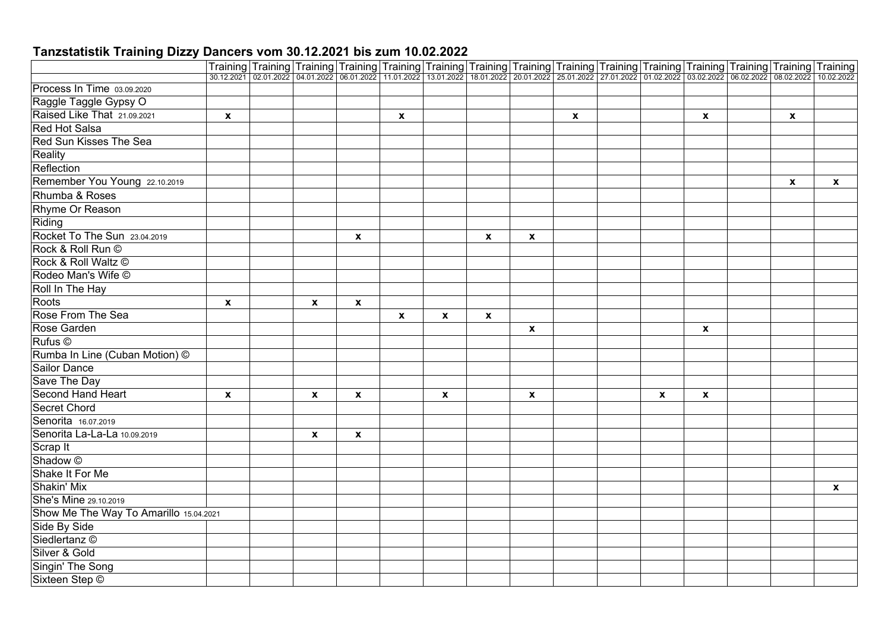|                                        |                    | Training Training Training Training Training Training Training Training Training Training Training Training Training Training Training Training Training Training Training Training Training Training Training Training Traini |                           |                    |                           |                    |              |              |              |   |                    |              |              |
|----------------------------------------|--------------------|--------------------------------------------------------------------------------------------------------------------------------------------------------------------------------------------------------------------------------|---------------------------|--------------------|---------------------------|--------------------|--------------|--------------|--------------|---|--------------------|--------------|--------------|
|                                        |                    |                                                                                                                                                                                                                                |                           |                    |                           |                    |              |              |              |   |                    |              |              |
| Process In Time 03.09.2020             |                    |                                                                                                                                                                                                                                |                           |                    |                           |                    |              |              |              |   |                    |              |              |
| Raggle Taggle Gypsy O                  |                    |                                                                                                                                                                                                                                |                           |                    |                           |                    |              |              |              |   |                    |              |              |
| Raised Like That 21.09.2021            | $\mathbf{x}$       |                                                                                                                                                                                                                                |                           |                    | $\mathbf{x}$              |                    |              |              | $\mathbf{x}$ |   | $\mathbf{x}$       | $\mathbf{x}$ |              |
| <b>Red Hot Salsa</b>                   |                    |                                                                                                                                                                                                                                |                           |                    |                           |                    |              |              |              |   |                    |              |              |
| Red Sun Kisses The Sea                 |                    |                                                                                                                                                                                                                                |                           |                    |                           |                    |              |              |              |   |                    |              |              |
| Reality                                |                    |                                                                                                                                                                                                                                |                           |                    |                           |                    |              |              |              |   |                    |              |              |
| Reflection                             |                    |                                                                                                                                                                                                                                |                           |                    |                           |                    |              |              |              |   |                    |              |              |
| Remember You Young 22.10.2019          |                    |                                                                                                                                                                                                                                |                           |                    |                           |                    |              |              |              |   |                    | $\mathbf{x}$ | $\mathbf{x}$ |
| Rhumba & Roses                         |                    |                                                                                                                                                                                                                                |                           |                    |                           |                    |              |              |              |   |                    |              |              |
| Rhyme Or Reason                        |                    |                                                                                                                                                                                                                                |                           |                    |                           |                    |              |              |              |   |                    |              |              |
| Riding                                 |                    |                                                                                                                                                                                                                                |                           |                    |                           |                    |              |              |              |   |                    |              |              |
| Rocket To The Sun 23.04.2019           |                    |                                                                                                                                                                                                                                |                           | $\pmb{\mathsf{x}}$ |                           |                    | $\pmb{\chi}$ | $\mathbf{x}$ |              |   |                    |              |              |
| Rock & Roll Run ©                      |                    |                                                                                                                                                                                                                                |                           |                    |                           |                    |              |              |              |   |                    |              |              |
| Rock & Roll Waltz ©                    |                    |                                                                                                                                                                                                                                |                           |                    |                           |                    |              |              |              |   |                    |              |              |
| Rodeo Man's Wife ©                     |                    |                                                                                                                                                                                                                                |                           |                    |                           |                    |              |              |              |   |                    |              |              |
| Roll In The Hay                        |                    |                                                                                                                                                                                                                                |                           |                    |                           |                    |              |              |              |   |                    |              |              |
| Roots                                  | $\pmb{\mathsf{x}}$ |                                                                                                                                                                                                                                | $\boldsymbol{\mathsf{x}}$ | X                  |                           |                    |              |              |              |   |                    |              |              |
| <b>Rose From The Sea</b>               |                    |                                                                                                                                                                                                                                |                           |                    | $\boldsymbol{\mathsf{x}}$ | $\pmb{\chi}$       | $\mathbf x$  |              |              |   |                    |              |              |
| Rose Garden                            |                    |                                                                                                                                                                                                                                |                           |                    |                           |                    |              | $\mathbf{x}$ |              |   | $\pmb{\mathsf{x}}$ |              |              |
| Rufus ©                                |                    |                                                                                                                                                                                                                                |                           |                    |                           |                    |              |              |              |   |                    |              |              |
| Rumba In Line (Cuban Motion) ©         |                    |                                                                                                                                                                                                                                |                           |                    |                           |                    |              |              |              |   |                    |              |              |
| <b>Sailor Dance</b>                    |                    |                                                                                                                                                                                                                                |                           |                    |                           |                    |              |              |              |   |                    |              |              |
| Save The Day                           |                    |                                                                                                                                                                                                                                |                           |                    |                           |                    |              |              |              |   |                    |              |              |
| Second Hand Heart                      | X                  |                                                                                                                                                                                                                                | X                         | $\pmb{\mathsf{x}}$ |                           | $\pmb{\mathsf{x}}$ |              | $\mathbf{x}$ |              | X | $\pmb{\mathsf{x}}$ |              |              |
| <b>Secret Chord</b>                    |                    |                                                                                                                                                                                                                                |                           |                    |                           |                    |              |              |              |   |                    |              |              |
| Senorita 16.07.2019                    |                    |                                                                                                                                                                                                                                |                           |                    |                           |                    |              |              |              |   |                    |              |              |
| Senorita La-La-La 10.09.2019           |                    |                                                                                                                                                                                                                                | $\mathbf x$               | $\pmb{\mathsf{x}}$ |                           |                    |              |              |              |   |                    |              |              |
| Scrap It                               |                    |                                                                                                                                                                                                                                |                           |                    |                           |                    |              |              |              |   |                    |              |              |
| Shadow <sup>©</sup>                    |                    |                                                                                                                                                                                                                                |                           |                    |                           |                    |              |              |              |   |                    |              |              |
| Shake It For Me                        |                    |                                                                                                                                                                                                                                |                           |                    |                           |                    |              |              |              |   |                    |              |              |
| Shakin' Mix                            |                    |                                                                                                                                                                                                                                |                           |                    |                           |                    |              |              |              |   |                    |              | $\mathbf{x}$ |
| She's Mine 29.10.2019                  |                    |                                                                                                                                                                                                                                |                           |                    |                           |                    |              |              |              |   |                    |              |              |
| Show Me The Way To Amarillo 15.04.2021 |                    |                                                                                                                                                                                                                                |                           |                    |                           |                    |              |              |              |   |                    |              |              |
| Side By Side                           |                    |                                                                                                                                                                                                                                |                           |                    |                           |                    |              |              |              |   |                    |              |              |
| Siedlertanz <sup>©</sup>               |                    |                                                                                                                                                                                                                                |                           |                    |                           |                    |              |              |              |   |                    |              |              |
| Silver & Gold                          |                    |                                                                                                                                                                                                                                |                           |                    |                           |                    |              |              |              |   |                    |              |              |
| Singin' The Song                       |                    |                                                                                                                                                                                                                                |                           |                    |                           |                    |              |              |              |   |                    |              |              |
| Sixteen Step ©                         |                    |                                                                                                                                                                                                                                |                           |                    |                           |                    |              |              |              |   |                    |              |              |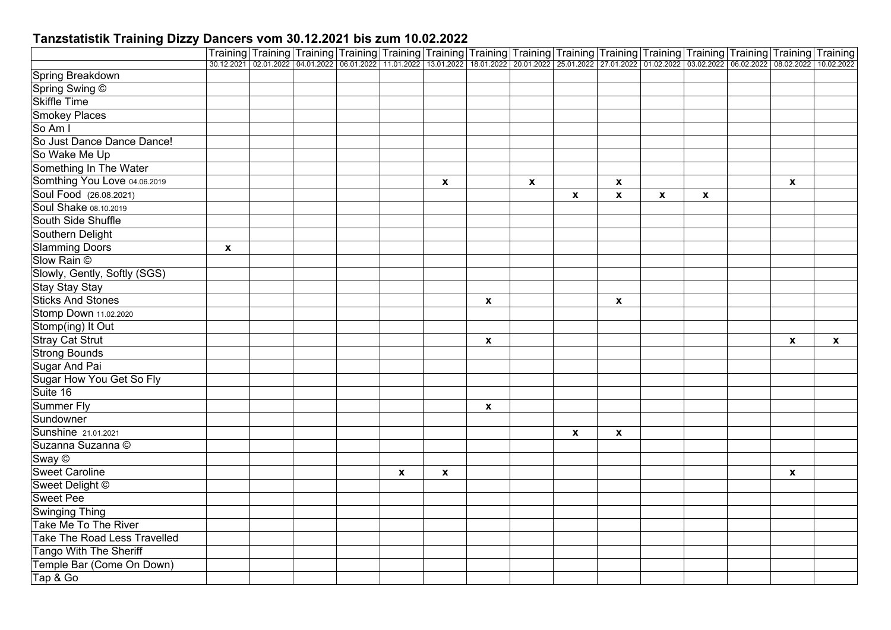|                              |              |  | Training Training Training Training Training Training Training Training Training Training Training Training Training Training Training                                                     |                           |                    |              |              |              |                    |              |              |              |              |
|------------------------------|--------------|--|--------------------------------------------------------------------------------------------------------------------------------------------------------------------------------------------|---------------------------|--------------------|--------------|--------------|--------------|--------------------|--------------|--------------|--------------|--------------|
|                              |              |  | 30.12.2021 02.01.2022 04.01.2022 06.01.2022 11.01.2022 13.01.2022 18.01.2022 20.01.2022 25.01.2022 27.01.2022 01.02.2022 03.02.2022 03.02.2022 08.02.2022 03.02.2022 05.02.2022 10.02.2022 |                           |                    |              |              |              |                    |              |              |              |              |
| Spring Breakdown             |              |  |                                                                                                                                                                                            |                           |                    |              |              |              |                    |              |              |              |              |
| Spring Swing ©               |              |  |                                                                                                                                                                                            |                           |                    |              |              |              |                    |              |              |              |              |
| <b>Skiffle Time</b>          |              |  |                                                                                                                                                                                            |                           |                    |              |              |              |                    |              |              |              |              |
| <b>Smokey Places</b>         |              |  |                                                                                                                                                                                            |                           |                    |              |              |              |                    |              |              |              |              |
| So Am I                      |              |  |                                                                                                                                                                                            |                           |                    |              |              |              |                    |              |              |              |              |
| So Just Dance Dance Dance!   |              |  |                                                                                                                                                                                            |                           |                    |              |              |              |                    |              |              |              |              |
| So Wake Me Up                |              |  |                                                                                                                                                                                            |                           |                    |              |              |              |                    |              |              |              |              |
| Something In The Water       |              |  |                                                                                                                                                                                            |                           |                    |              |              |              |                    |              |              |              |              |
| Somthing You Love 04.06.2019 |              |  |                                                                                                                                                                                            |                           | $\pmb{\chi}$       |              | $\mathbf{x}$ |              | $\pmb{\mathsf{x}}$ |              |              | $\mathbf{x}$ |              |
| Soul Food (26.08.2021)       |              |  |                                                                                                                                                                                            |                           |                    |              |              | X            | $\mathbf{x}$       | $\mathbf{x}$ | $\mathbf{x}$ |              |              |
| Soul Shake 08.10.2019        |              |  |                                                                                                                                                                                            |                           |                    |              |              |              |                    |              |              |              |              |
| South Side Shuffle           |              |  |                                                                                                                                                                                            |                           |                    |              |              |              |                    |              |              |              |              |
| Southern Delight             |              |  |                                                                                                                                                                                            |                           |                    |              |              |              |                    |              |              |              |              |
| <b>Slamming Doors</b>        | $\mathbf{x}$ |  |                                                                                                                                                                                            |                           |                    |              |              |              |                    |              |              |              |              |
| Slow Rain ©                  |              |  |                                                                                                                                                                                            |                           |                    |              |              |              |                    |              |              |              |              |
| Slowly, Gently, Softly (SGS) |              |  |                                                                                                                                                                                            |                           |                    |              |              |              |                    |              |              |              |              |
| <b>Stay Stay Stay</b>        |              |  |                                                                                                                                                                                            |                           |                    |              |              |              |                    |              |              |              |              |
| <b>Sticks And Stones</b>     |              |  |                                                                                                                                                                                            |                           |                    | $\pmb{\chi}$ |              |              | $\pmb{\mathsf{x}}$ |              |              |              |              |
| Stomp Down 11.02.2020        |              |  |                                                                                                                                                                                            |                           |                    |              |              |              |                    |              |              |              |              |
| Stomp(ing) It Out            |              |  |                                                                                                                                                                                            |                           |                    |              |              |              |                    |              |              |              |              |
| <b>Stray Cat Strut</b>       |              |  |                                                                                                                                                                                            |                           |                    | $\pmb{\chi}$ |              |              |                    |              |              | $\mathbf{x}$ | $\pmb{\chi}$ |
| <b>Strong Bounds</b>         |              |  |                                                                                                                                                                                            |                           |                    |              |              |              |                    |              |              |              |              |
| Sugar And Pai                |              |  |                                                                                                                                                                                            |                           |                    |              |              |              |                    |              |              |              |              |
| Sugar How You Get So Fly     |              |  |                                                                                                                                                                                            |                           |                    |              |              |              |                    |              |              |              |              |
| Suite 16                     |              |  |                                                                                                                                                                                            |                           |                    |              |              |              |                    |              |              |              |              |
| <b>Summer Fly</b>            |              |  |                                                                                                                                                                                            |                           |                    | X            |              |              |                    |              |              |              |              |
| Sundowner                    |              |  |                                                                                                                                                                                            |                           |                    |              |              |              |                    |              |              |              |              |
| <b>Sunshine</b> 21.01.2021   |              |  |                                                                                                                                                                                            |                           |                    |              |              | $\mathbf{x}$ | $\boldsymbol{x}$   |              |              |              |              |
| Suzanna Suzanna ©            |              |  |                                                                                                                                                                                            |                           |                    |              |              |              |                    |              |              |              |              |
| Sway ©                       |              |  |                                                                                                                                                                                            |                           |                    |              |              |              |                    |              |              |              |              |
| <b>Sweet Caroline</b>        |              |  |                                                                                                                                                                                            | $\boldsymbol{\mathsf{x}}$ | $\pmb{\mathsf{x}}$ |              |              |              |                    |              |              | $\mathbf{x}$ |              |
| Sweet Delight ©              |              |  |                                                                                                                                                                                            |                           |                    |              |              |              |                    |              |              |              |              |
| <b>Sweet Pee</b>             |              |  |                                                                                                                                                                                            |                           |                    |              |              |              |                    |              |              |              |              |
| <b>Swinging Thing</b>        |              |  |                                                                                                                                                                                            |                           |                    |              |              |              |                    |              |              |              |              |
| Take Me To The River         |              |  |                                                                                                                                                                                            |                           |                    |              |              |              |                    |              |              |              |              |
| Take The Road Less Travelled |              |  |                                                                                                                                                                                            |                           |                    |              |              |              |                    |              |              |              |              |
| Tango With The Sheriff       |              |  |                                                                                                                                                                                            |                           |                    |              |              |              |                    |              |              |              |              |
| Temple Bar (Come On Down)    |              |  |                                                                                                                                                                                            |                           |                    |              |              |              |                    |              |              |              |              |
|                              |              |  |                                                                                                                                                                                            |                           |                    |              |              |              |                    |              |              |              |              |
| Tap & Go                     |              |  |                                                                                                                                                                                            |                           |                    |              |              |              |                    |              |              |              |              |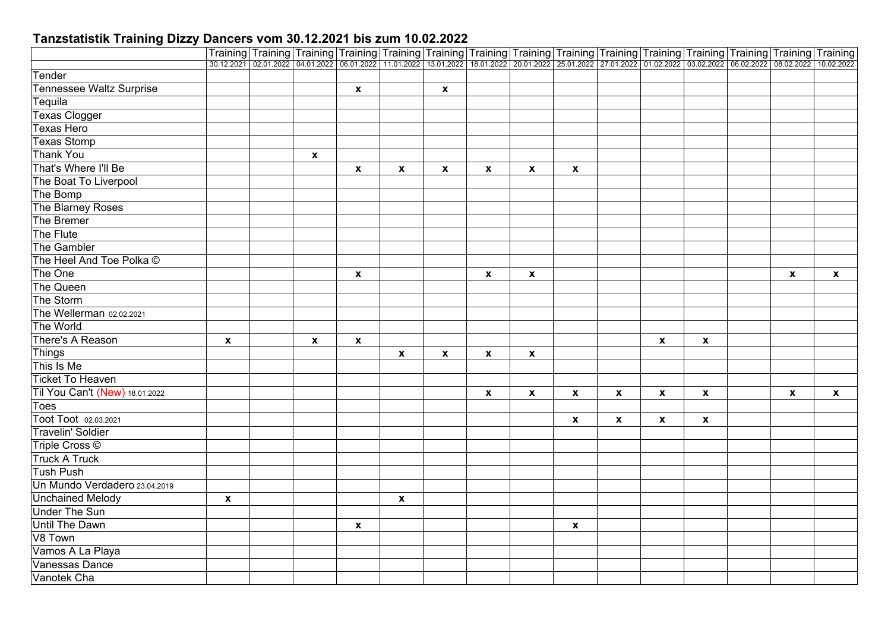|                                                                                                                                                                                            | Training Training Training Training Training Training Training Training Training Training Training Training Training Training Training |
|--------------------------------------------------------------------------------------------------------------------------------------------------------------------------------------------|----------------------------------------------------------------------------------------------------------------------------------------|
| 30.12.2021 02.01.2022 04.01.2022 06.01.2022 11.01.2022 13.01.2022 18.01.2022 20.01.2022 25.01.2022 27.01.2022 01.02.2022 03.02.2022 03.02.2022 06.02.2022 03.02.2022 05.02.2022 10.02.2022 |                                                                                                                                        |
| Tender                                                                                                                                                                                     |                                                                                                                                        |
| <b>Tennessee Waltz Surprise</b><br>$\pmb{\mathsf{x}}$<br>$\pmb{\mathsf{x}}$                                                                                                                |                                                                                                                                        |
| Tequila                                                                                                                                                                                    |                                                                                                                                        |
| <b>Texas Clogger</b>                                                                                                                                                                       |                                                                                                                                        |
| <b>Texas Hero</b>                                                                                                                                                                          |                                                                                                                                        |
| <b>Texas Stomp</b>                                                                                                                                                                         |                                                                                                                                        |
| <b>Thank You</b><br>$\mathbf x$                                                                                                                                                            |                                                                                                                                        |
| That's Where I'll Be<br>$\pmb{\mathsf{x}}$<br>$\mathbf{x}$<br>$\boldsymbol{\mathsf{x}}$<br>$\mathbf{x}$<br>$\mathbf{x}$<br>$\mathbf{x}$                                                    |                                                                                                                                        |
| The Boat To Liverpool                                                                                                                                                                      |                                                                                                                                        |
| The Bomp                                                                                                                                                                                   |                                                                                                                                        |
| The Blarney Roses                                                                                                                                                                          |                                                                                                                                        |
| The Bremer                                                                                                                                                                                 |                                                                                                                                        |
| The Flute                                                                                                                                                                                  |                                                                                                                                        |
| The Gambler                                                                                                                                                                                |                                                                                                                                        |
| The Heel And Toe Polka ©                                                                                                                                                                   |                                                                                                                                        |
| The One<br>$\boldsymbol{\mathsf{x}}$<br>$\boldsymbol{\mathsf{x}}$<br>$\mathbf{x}$<br>$\mathbf{x}$                                                                                          | $\mathbf{x}$                                                                                                                           |
| The Queen                                                                                                                                                                                  |                                                                                                                                        |
| The Storm                                                                                                                                                                                  |                                                                                                                                        |
| The Wellerman 02.02.2021                                                                                                                                                                   |                                                                                                                                        |
| The World                                                                                                                                                                                  |                                                                                                                                        |
| There's A Reason<br>$\boldsymbol{x}$<br>$\pmb{\mathsf{x}}$<br>$\boldsymbol{x}$<br>$\boldsymbol{x}$<br>$\pmb{\mathsf{x}}$                                                                   |                                                                                                                                        |
| Things<br>$\boldsymbol{\mathsf{x}}$<br>$\boldsymbol{x}$<br>$\boldsymbol{\mathsf{x}}$<br>$\boldsymbol{\mathsf{x}}$                                                                          |                                                                                                                                        |
| This Is Me                                                                                                                                                                                 |                                                                                                                                        |
| <b>Ticket To Heaven</b>                                                                                                                                                                    |                                                                                                                                        |
| Til You Can't (New) 18.01.2022<br>$\pmb{\chi}$<br>$\mathbf{x}$<br>$\mathbf{x}$<br>$\mathbf{x}$<br>$\pmb{\mathsf{x}}$<br>$\pmb{\mathsf{x}}$<br>$\boldsymbol{\mathsf{x}}$                    | $\boldsymbol{\mathsf{x}}$                                                                                                              |
| Toes                                                                                                                                                                                       |                                                                                                                                        |
| Toot Toot 02.03.2021<br>$\boldsymbol{x}$<br>$\mathbf{x}$<br>$\mathbf{x}$<br>$\pmb{\mathsf{x}}$                                                                                             |                                                                                                                                        |
| <b>Travelin' Soldier</b>                                                                                                                                                                   |                                                                                                                                        |
| Triple Cross ©                                                                                                                                                                             |                                                                                                                                        |
| <b>Truck A Truck</b>                                                                                                                                                                       |                                                                                                                                        |
| <b>Tush Push</b>                                                                                                                                                                           |                                                                                                                                        |
| Un Mundo Verdadero 23.04.2019                                                                                                                                                              |                                                                                                                                        |
| <b>Unchained Melody</b><br>$\mathbf{x}$<br>$\boldsymbol{\mathsf{x}}$                                                                                                                       |                                                                                                                                        |
| <b>Under The Sun</b>                                                                                                                                                                       |                                                                                                                                        |
| <b>Until The Dawn</b><br>$\mathbf{x}$<br>$\mathbf{x}$                                                                                                                                      |                                                                                                                                        |
| V8 Town                                                                                                                                                                                    |                                                                                                                                        |
| Vamos A La Playa                                                                                                                                                                           |                                                                                                                                        |
| Vanessas Dance                                                                                                                                                                             |                                                                                                                                        |
| Vanotek Cha                                                                                                                                                                                |                                                                                                                                        |